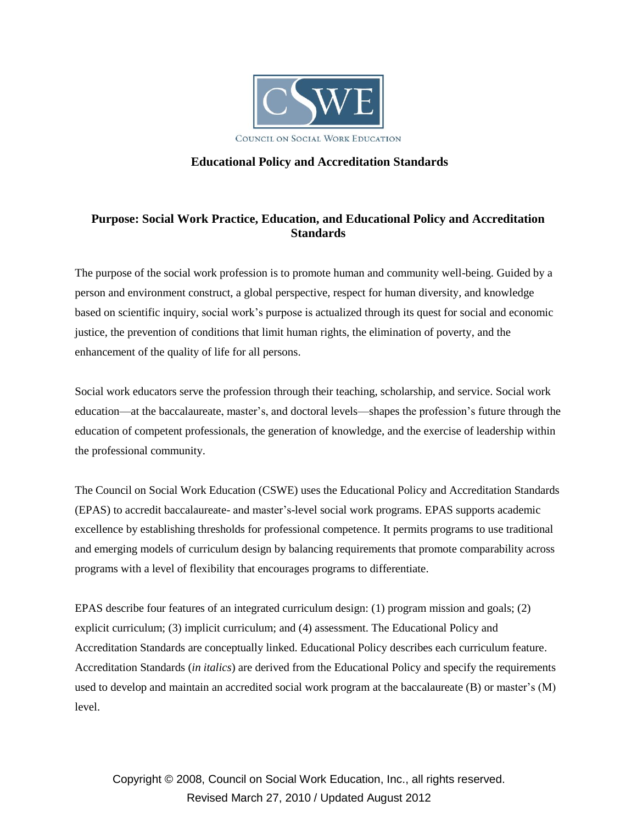

# **Educational Policy and Accreditation Standards**

# **Purpose: Social Work Practice, Education, and Educational Policy and Accreditation Standards**

The purpose of the social work profession is to promote human and community well-being. Guided by a person and environment construct, a global perspective, respect for human diversity, and knowledge based on scientific inquiry, social work's purpose is actualized through its quest for social and economic justice, the prevention of conditions that limit human rights, the elimination of poverty, and the enhancement of the quality of life for all persons.

Social work educators serve the profession through their teaching, scholarship, and service. Social work education—at the baccalaureate, master's, and doctoral levels—shapes the profession's future through the education of competent professionals, the generation of knowledge, and the exercise of leadership within the professional community.

The Council on Social Work Education (CSWE) uses the Educational Policy and Accreditation Standards (EPAS) to accredit baccalaureate- and master's-level social work programs. EPAS supports academic excellence by establishing thresholds for professional competence. It permits programs to use traditional and emerging models of curriculum design by balancing requirements that promote comparability across programs with a level of flexibility that encourages programs to differentiate.

EPAS describe four features of an integrated curriculum design: (1) program mission and goals; (2) explicit curriculum; (3) implicit curriculum; and (4) assessment. The Educational Policy and Accreditation Standards are conceptually linked. Educational Policy describes each curriculum feature. Accreditation Standards (*in italics*) are derived from the Educational Policy and specify the requirements used to develop and maintain an accredited social work program at the baccalaureate (B) or master's (M) level.

Copyright © 2008, Council on Social Work Education, Inc., all rights reserved. Revised March 27, 2010 / Updated August 2012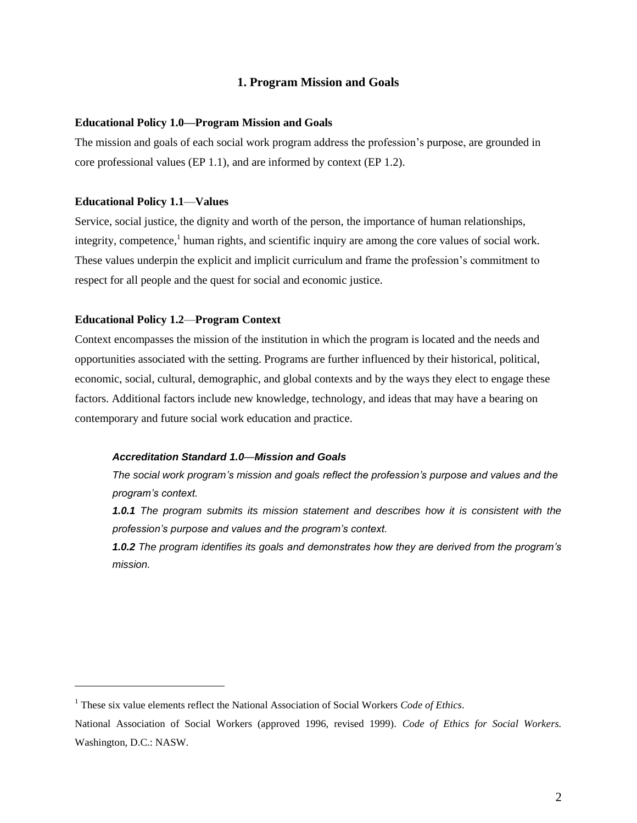## **1. Program Mission and Goals**

#### **Educational Policy 1.0—Program Mission and Goals**

The mission and goals of each social work program address the profession's purpose, are grounded in core professional values (EP 1.1), and are informed by context (EP 1.2).

#### **Educational Policy 1.1**—**Values**

 $\overline{a}$ 

Service, social justice, the dignity and worth of the person, the importance of human relationships, integrity, competence,<sup>1</sup> human rights, and scientific inquiry are among the core values of social work. These values underpin the explicit and implicit curriculum and frame the profession's commitment to respect for all people and the quest for social and economic justice.

### **Educational Policy 1.2**—**Program Context**

Context encompasses the mission of the institution in which the program is located and the needs and opportunities associated with the setting. Programs are further influenced by their historical, political, economic, social, cultural, demographic, and global contexts and by the ways they elect to engage these factors. Additional factors include new knowledge, technology, and ideas that may have a bearing on contemporary and future social work education and practice.

## *Accreditation Standard 1.0*—*Mission and Goals*

*The social work program's mission and goals reflect the profession's purpose and values and the program's context.*

*1.0.1 The program submits its mission statement and describes how it is consistent with the profession's purpose and values and the program's context.*

*1.0.2 The program identifies its goals and demonstrates how they are derived from the program's mission.*

<sup>1</sup> These six value elements reflect the National Association of Social Workers *Code of Ethics*.

National Association of Social Workers (approved 1996, revised 1999). *Code of Ethics for Social Workers.*  Washington, D.C.: NASW.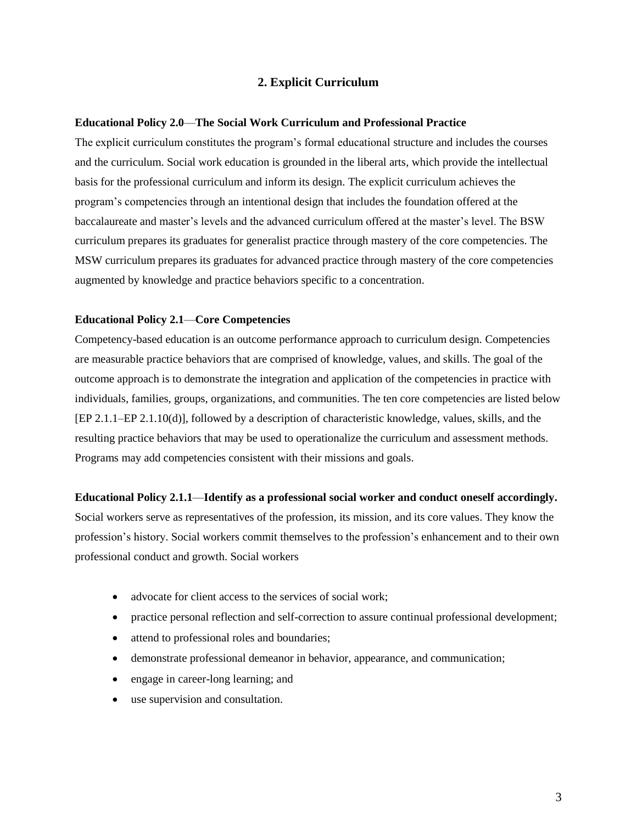# **2. Explicit Curriculum**

### **Educational Policy 2.0**—**The Social Work Curriculum and Professional Practice**

The explicit curriculum constitutes the program's formal educational structure and includes the courses and the curriculum. Social work education is grounded in the liberal arts, which provide the intellectual basis for the professional curriculum and inform its design. The explicit curriculum achieves the program's competencies through an intentional design that includes the foundation offered at the baccalaureate and master's levels and the advanced curriculum offered at the master's level. The BSW curriculum prepares its graduates for generalist practice through mastery of the core competencies. The MSW curriculum prepares its graduates for advanced practice through mastery of the core competencies augmented by knowledge and practice behaviors specific to a concentration.

## **Educational Policy 2.1**—**Core Competencies**

Competency-based education is an outcome performance approach to curriculum design. Competencies are measurable practice behaviors that are comprised of knowledge, values, and skills. The goal of the outcome approach is to demonstrate the integration and application of the competencies in practice with individuals, families, groups, organizations, and communities. The ten core competencies are listed below [EP 2.1.1–EP 2.1.10(d)], followed by a description of characteristic knowledge, values, skills, and the resulting practice behaviors that may be used to operationalize the curriculum and assessment methods. Programs may add competencies consistent with their missions and goals.

### **Educational Policy 2.1.1**—**Identify as a professional social worker and conduct oneself accordingly.**

Social workers serve as representatives of the profession, its mission, and its core values. They know the profession's history. Social workers commit themselves to the profession's enhancement and to their own professional conduct and growth. Social workers

- advocate for client access to the services of social work;
- practice personal reflection and self-correction to assure continual professional development;
- attend to professional roles and boundaries;
- demonstrate professional demeanor in behavior, appearance, and communication;
- engage in career-long learning; and
- use supervision and consultation.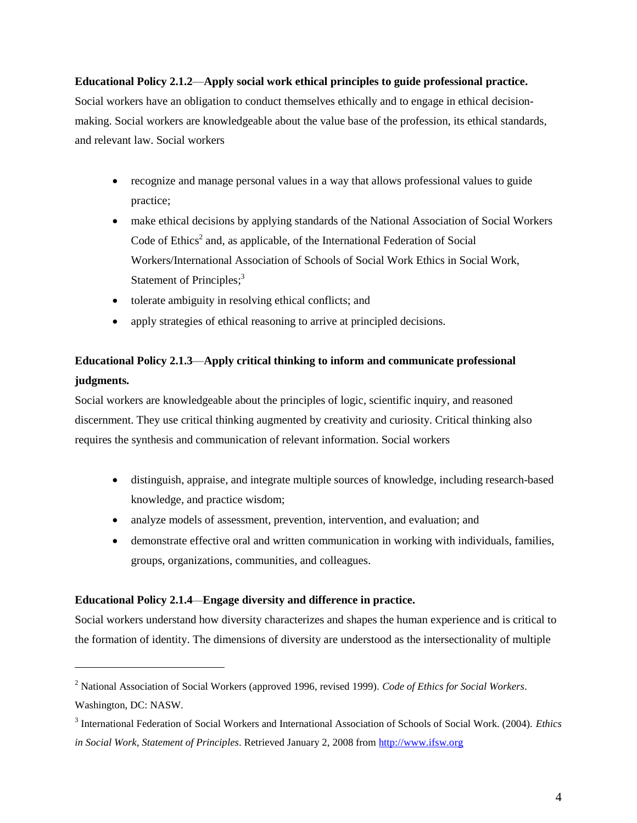# **Educational Policy 2.1.2**—**Apply social work ethical principles to guide professional practice.**

Social workers have an obligation to conduct themselves ethically and to engage in ethical decisionmaking. Social workers are knowledgeable about the value base of the profession, its ethical standards, and relevant law. Social workers

- recognize and manage personal values in a way that allows professional values to guide practice;
- make ethical decisions by applying standards of the National Association of Social Workers Code of Ethics<sup>2</sup> and, as applicable, of the International Federation of Social Workers/International Association of Schools of Social Work Ethics in Social Work, Statement of Principles;<sup>3</sup>
- tolerate ambiguity in resolving ethical conflicts; and
- apply strategies of ethical reasoning to arrive at principled decisions.

# **Educational Policy 2.1.3**—**Apply critical thinking to inform and communicate professional judgments.**

Social workers are knowledgeable about the principles of logic, scientific inquiry, and reasoned discernment. They use critical thinking augmented by creativity and curiosity. Critical thinking also requires the synthesis and communication of relevant information. Social workers

- distinguish, appraise, and integrate multiple sources of knowledge, including research-based knowledge, and practice wisdom;
- analyze models of assessment, prevention, intervention, and evaluation; and
- demonstrate effective oral and written communication in working with individuals, families, groups, organizations, communities, and colleagues.

# **Educational Policy 2.1.4**—**Engage diversity and difference in practice.**

 $\overline{a}$ 

Social workers understand how diversity characterizes and shapes the human experience and is critical to the formation of identity. The dimensions of diversity are understood as the intersectionality of multiple

<sup>2</sup> National Association of Social Workers (approved 1996, revised 1999). *Code of Ethics for Social Workers*. Washington, DC: NASW.

<sup>3</sup> International Federation of Social Workers and International Association of Schools of Social Work. (2004). *Ethics in Social Work, Statement of Principles*. Retrieved January 2, 2008 from [http://www.ifsw.org](http://www.ifsw.org/)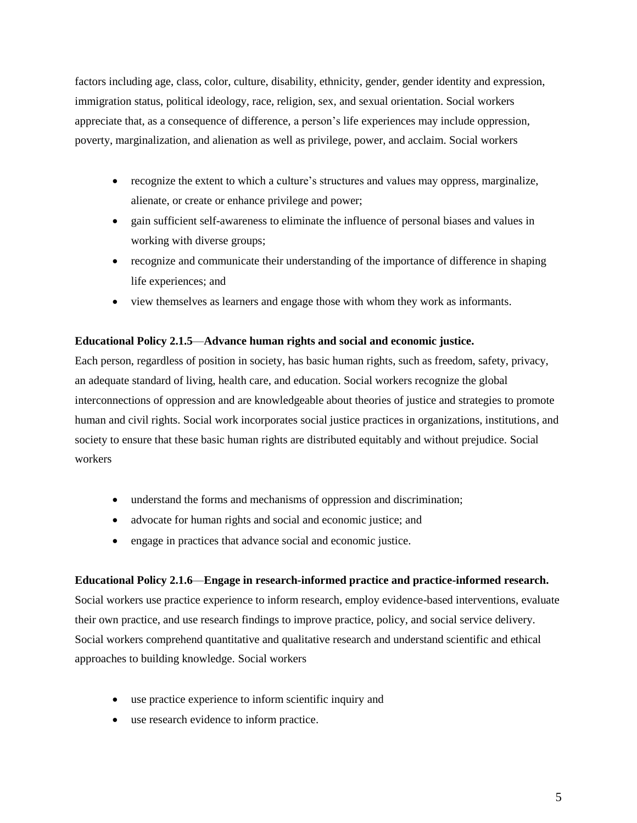factors including age, class, color, culture, disability, ethnicity, gender, gender identity and expression, immigration status, political ideology, race, religion, sex, and sexual orientation. Social workers appreciate that, as a consequence of difference, a person's life experiences may include oppression, poverty, marginalization, and alienation as well as privilege, power, and acclaim. Social workers

- recognize the extent to which a culture's structures and values may oppress, marginalize, alienate, or create or enhance privilege and power;
- gain sufficient self-awareness to eliminate the influence of personal biases and values in working with diverse groups;
- recognize and communicate their understanding of the importance of difference in shaping life experiences; and
- view themselves as learners and engage those with whom they work as informants.

# **Educational Policy 2.1.5**—**Advance human rights and social and economic justice.**

Each person, regardless of position in society, has basic human rights, such as freedom, safety, privacy, an adequate standard of living, health care, and education. Social workers recognize the global interconnections of oppression and are knowledgeable about theories of justice and strategies to promote human and civil rights. Social work incorporates social justice practices in organizations, institutions, and society to ensure that these basic human rights are distributed equitably and without prejudice. Social workers

- understand the forms and mechanisms of oppression and discrimination;
- advocate for human rights and social and economic justice; and
- engage in practices that advance social and economic justice.

## **Educational Policy 2.1.6**—**Engage in research-informed practice and practice-informed research.**

Social workers use practice experience to inform research, employ evidence-based interventions, evaluate their own practice, and use research findings to improve practice, policy, and social service delivery. Social workers comprehend quantitative and qualitative research and understand scientific and ethical approaches to building knowledge. Social workers

- use practice experience to inform scientific inquiry and
- use research evidence to inform practice.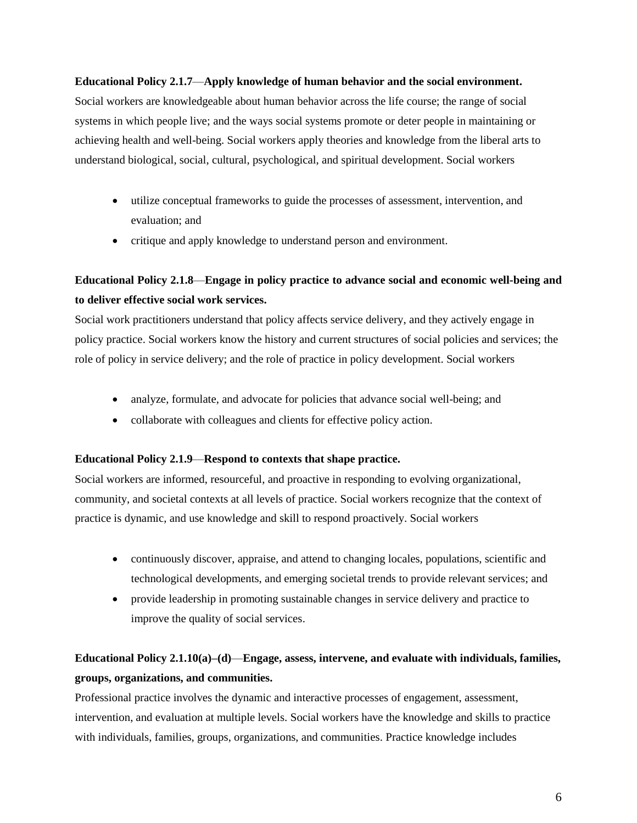## **Educational Policy 2.1.7**—**Apply knowledge of human behavior and the social environment.**

Social workers are knowledgeable about human behavior across the life course; the range of social systems in which people live; and the ways social systems promote or deter people in maintaining or achieving health and well-being. Social workers apply theories and knowledge from the liberal arts to understand biological, social, cultural, psychological, and spiritual development. Social workers

- utilize conceptual frameworks to guide the processes of assessment, intervention, and evaluation; and
- critique and apply knowledge to understand person and environment.

# **Educational Policy 2.1.8**—**Engage in policy practice to advance social and economic well-being and to deliver effective social work services.**

Social work practitioners understand that policy affects service delivery, and they actively engage in policy practice. Social workers know the history and current structures of social policies and services; the role of policy in service delivery; and the role of practice in policy development. Social workers

- analyze, formulate, and advocate for policies that advance social well-being; and
- collaborate with colleagues and clients for effective policy action.

## **Educational Policy 2.1.9**—**Respond to contexts that shape practice.**

Social workers are informed, resourceful, and proactive in responding to evolving organizational, community, and societal contexts at all levels of practice. Social workers recognize that the context of practice is dynamic, and use knowledge and skill to respond proactively. Social workers

- continuously discover, appraise, and attend to changing locales, populations, scientific and technological developments, and emerging societal trends to provide relevant services; and
- provide leadership in promoting sustainable changes in service delivery and practice to improve the quality of social services.

# **Educational Policy 2.1.10(a)–(d)**—**Engage, assess, intervene, and evaluate with individuals, families, groups, organizations, and communities.**

Professional practice involves the dynamic and interactive processes of engagement, assessment, intervention, and evaluation at multiple levels. Social workers have the knowledge and skills to practice with individuals, families, groups, organizations, and communities. Practice knowledge includes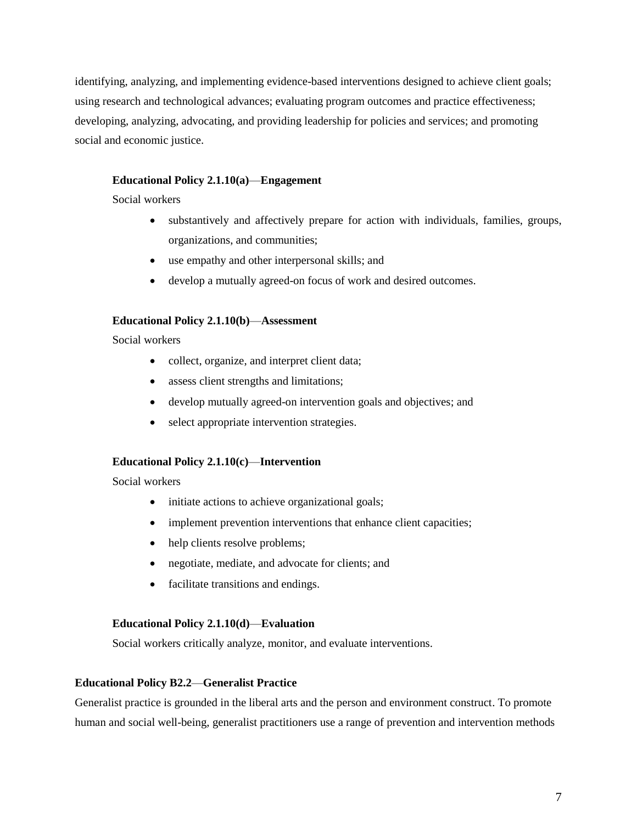identifying, analyzing, and implementing evidence-based interventions designed to achieve client goals; using research and technological advances; evaluating program outcomes and practice effectiveness; developing, analyzing, advocating, and providing leadership for policies and services; and promoting social and economic justice.

# **Educational Policy 2.1.10(a)**—**Engagement**

Social workers

- substantively and affectively prepare for action with individuals, families, groups, organizations, and communities;
- use empathy and other interpersonal skills; and
- develop a mutually agreed-on focus of work and desired outcomes.

# **Educational Policy 2.1.10(b)**—**Assessment**

Social workers

- collect, organize, and interpret client data;
- assess client strengths and limitations;
- develop mutually agreed-on intervention goals and objectives; and
- select appropriate intervention strategies.

## **Educational Policy 2.1.10(c)**—**Intervention**

Social workers

- initiate actions to achieve organizational goals;
- implement prevention interventions that enhance client capacities;
- help clients resolve problems;
- negotiate, mediate, and advocate for clients; and
- facilitate transitions and endings.

## **Educational Policy 2.1.10(d)**—**Evaluation**

Social workers critically analyze, monitor, and evaluate interventions.

## **Educational Policy B2.2**—**Generalist Practice**

Generalist practice is grounded in the liberal arts and the person and environment construct. To promote human and social well-being, generalist practitioners use a range of prevention and intervention methods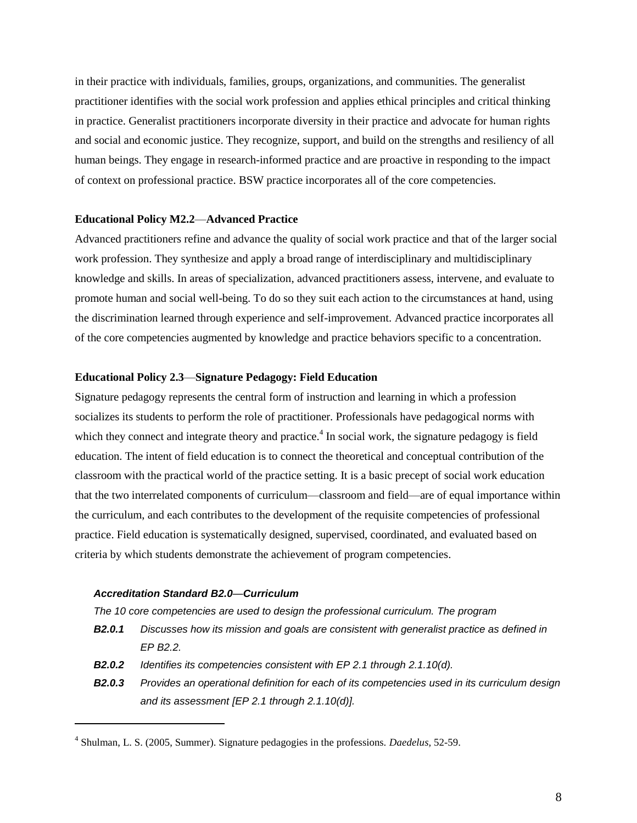in their practice with individuals, families, groups, organizations, and communities. The generalist practitioner identifies with the social work profession and applies ethical principles and critical thinking in practice. Generalist practitioners incorporate diversity in their practice and advocate for human rights and social and economic justice. They recognize, support, and build on the strengths and resiliency of all human beings. They engage in research-informed practice and are proactive in responding to the impact of context on professional practice. BSW practice incorporates all of the core competencies.

### **Educational Policy M2.2**—**Advanced Practice**

Advanced practitioners refine and advance the quality of social work practice and that of the larger social work profession. They synthesize and apply a broad range of interdisciplinary and multidisciplinary knowledge and skills. In areas of specialization, advanced practitioners assess, intervene, and evaluate to promote human and social well-being. To do so they suit each action to the circumstances at hand, using the discrimination learned through experience and self-improvement. Advanced practice incorporates all of the core competencies augmented by knowledge and practice behaviors specific to a concentration.

## **Educational Policy 2.3**—**Signature Pedagogy: Field Education**

Signature pedagogy represents the central form of instruction and learning in which a profession socializes its students to perform the role of practitioner. Professionals have pedagogical norms with which they connect and integrate theory and practice.<sup>4</sup> In social work, the signature pedagogy is field education. The intent of field education is to connect the theoretical and conceptual contribution of the classroom with the practical world of the practice setting. It is a basic precept of social work education that the two interrelated components of curriculum—classroom and field—are of equal importance within the curriculum, and each contributes to the development of the requisite competencies of professional practice. Field education is systematically designed, supervised, coordinated, and evaluated based on criteria by which students demonstrate the achievement of program competencies.

#### *Accreditation Standard B2.0*—*Curriculum*

 $\overline{a}$ 

*The 10 core competencies are used to design the professional curriculum. The program*

- *B2.0.1 Discusses how its mission and goals are consistent with generalist practice as defined in EP B2.2.*
- *B2.0.2 Identifies its competencies consistent with EP 2.1 through 2.1.10(d).*
- *B2.0.3 Provides an operational definition for each of its competencies used in its curriculum design and its assessment [EP 2.1 through 2.1.10(d)].*

<sup>4</sup> Shulman, L. S. (2005, Summer). Signature pedagogies in the professions. *Daedelus,* 52-59.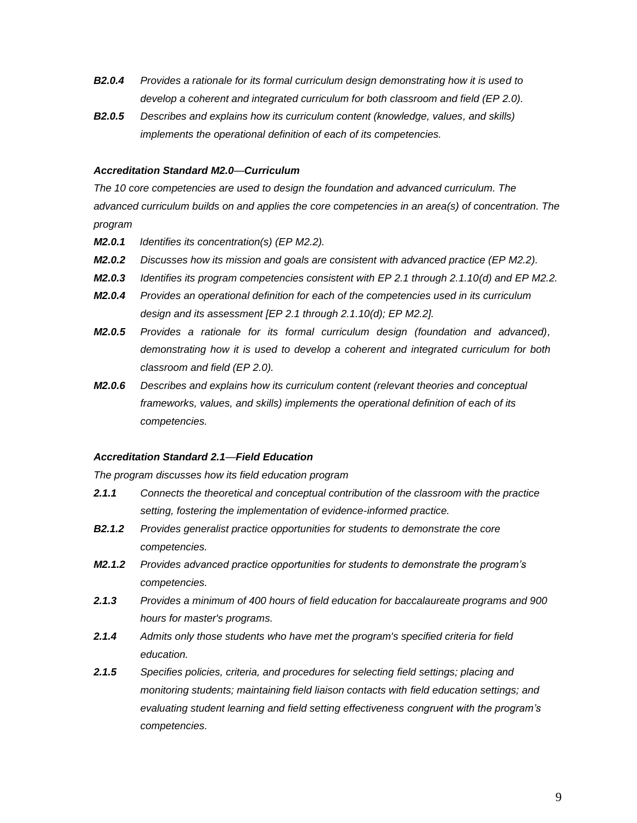- *B2.0.4 Provides a rationale for its formal curriculum design demonstrating how it is used to develop a coherent and integrated curriculum for both classroom and field (EP 2.0).*
- *B2.0.5 Describes and explains how its curriculum content (knowledge, values, and skills) implements the operational definition of each of its competencies.*

### *Accreditation Standard M2.0*—*Curriculum*

*The 10 core competencies are used to design the foundation and advanced curriculum. The advanced curriculum builds on and applies the core competencies in an area(s) of concentration. The program*

- *M2.0.1 Identifies its concentration(s) (EP M2.2).*
- *M2.0.2 Discusses how its mission and goals are consistent with advanced practice (EP M2.2).*
- *M2.0.3 Identifies its program competencies consistent with EP 2.1 through 2.1.10(d) and EP M2.2.*
- *M2.0.4 Provides an operational definition for each of the competencies used in its curriculum design and its assessment [EP 2.1 through 2.1.10(d); EP M2.2].*
- *M2.0.5 Provides a rationale for its formal curriculum design (foundation and advanced), demonstrating how it is used to develop a coherent and integrated curriculum for both classroom and field (EP 2.0).*
- *M2.0.6 Describes and explains how its curriculum content (relevant theories and conceptual frameworks, values, and skills) implements the operational definition of each of its competencies.*

#### *Accreditation Standard 2.1*—*Field Education*

*The program discusses how its field education program*

- *2.1.1 Connects the theoretical and conceptual contribution of the classroom with the practice setting, fostering the implementation of evidence-informed practice.*
- *B2.1.2 Provides generalist practice opportunities for students to demonstrate the core competencies.*
- *M2.1.2 Provides advanced practice opportunities for students to demonstrate the program's competencies.*
- *2.1.3 Provides a minimum of 400 hours of field education for baccalaureate programs and 900 hours for master's programs.*
- *2.1.4 Admits only those students who have met the program's specified criteria for field education.*
- *2.1.5 Specifies policies, criteria, and procedures for selecting field settings; placing and monitoring students; maintaining field liaison contacts with field education settings; and evaluating student learning and field setting effectiveness congruent with the program's competencies.*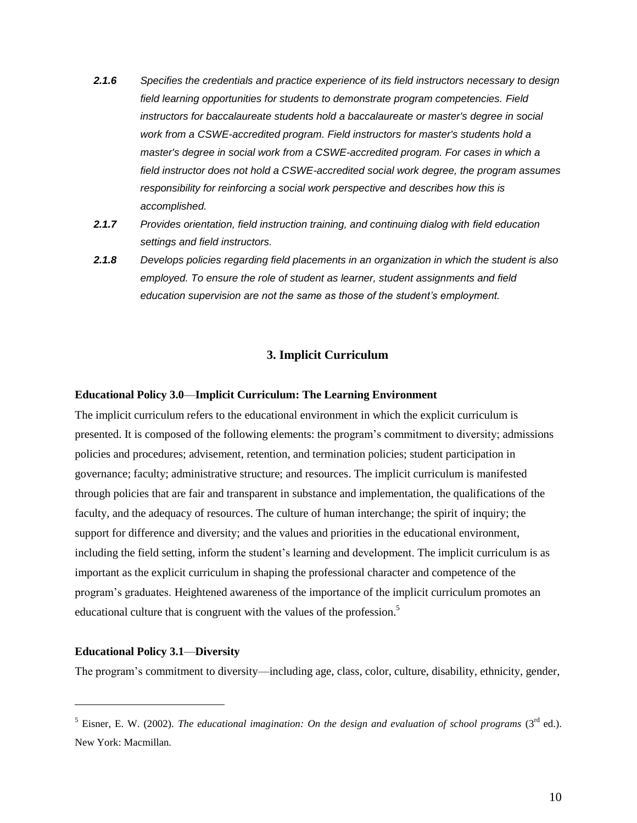- *2.1.6 Specifies the credentials and practice experience of its field instructors necessary to design field learning opportunities for students to demonstrate program competencies. Field instructors for baccalaureate students hold a baccalaureate or master's degree in social work from a CSWE-accredited program. Field instructors for master's students hold a master's degree in social work from a CSWE-accredited program. For cases in which a field instructor does not hold a CSWE-accredited social work degree, the program assumes responsibility for reinforcing a social work perspective and describes how this is accomplished.*
- *2.1.7 Provides orientation, field instruction training, and continuing dialog with field education settings and field instructors.*
- *2.1.8 Develops policies regarding field placements in an organization in which the student is also employed. To ensure the role of student as learner, student assignments and field education supervision are not the same as those of the student's employment.*

# **3. Implicit Curriculum**

### **Educational Policy 3.0**—**Implicit Curriculum: The Learning Environment**

The implicit curriculum refers to the educational environment in which the explicit curriculum is presented. It is composed of the following elements: the program's commitment to diversity; admissions policies and procedures; advisement, retention, and termination policies; student participation in governance; faculty; administrative structure; and resources. The implicit curriculum is manifested through policies that are fair and transparent in substance and implementation, the qualifications of the faculty, and the adequacy of resources. The culture of human interchange; the spirit of inquiry; the support for difference and diversity; and the values and priorities in the educational environment, including the field setting, inform the student's learning and development. The implicit curriculum is as important as the explicit curriculum in shaping the professional character and competence of the program's graduates. Heightened awareness of the importance of the implicit curriculum promotes an educational culture that is congruent with the values of the profession.<sup>5</sup>

### **Educational Policy 3.1**—**Diversity**

 $\overline{a}$ 

The program's commitment to diversity—including age, class, color, culture, disability, ethnicity, gender,

 $^5$  Eisner, E. W. (2002). *The educational imagination: On the design and evaluation of school programs* ( $3^{rd}$  ed.). New York: Macmillan.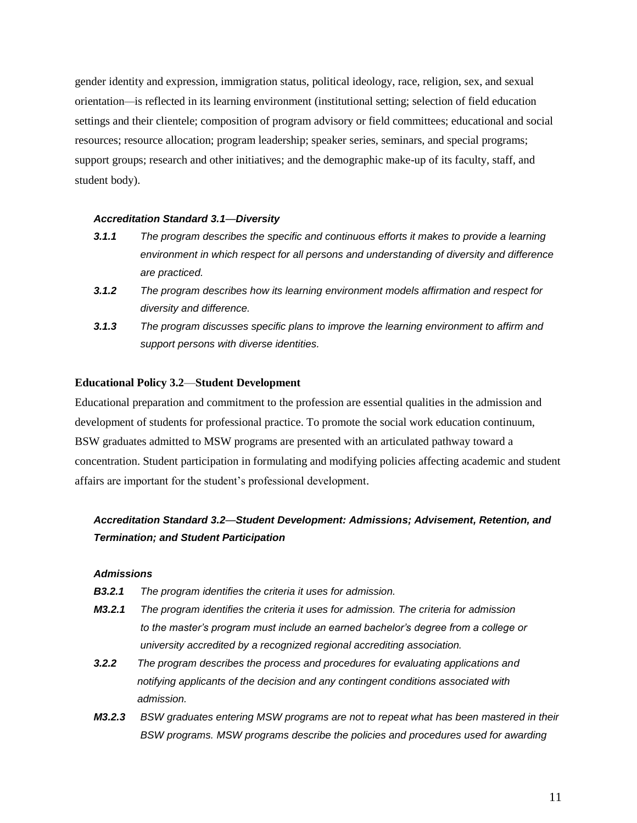gender identity and expression, immigration status, political ideology, race, religion, sex, and sexual orientation*—*is reflected in its learning environment (institutional setting; selection of field education settings and their clientele; composition of program advisory or field committees; educational and social resources; resource allocation; program leadership; speaker series, seminars, and special programs; support groups; research and other initiatives; and the demographic make-up of its faculty, staff, and student body).

## *Accreditation Standard 3.1*—*Diversity*

- *3.1.1 The program describes the specific and continuous efforts it makes to provide a learning environment in which respect for all persons and understanding of diversity and difference are practiced.*
- *3.1.2 The program describes how its learning environment models affirmation and respect for diversity and difference.*
- *3.1.3 The program discusses specific plans to improve the learning environment to affirm and support persons with diverse identities.*

# **Educational Policy 3.2**—**Student Development**

Educational preparation and commitment to the profession are essential qualities in the admission and development of students for professional practice. To promote the social work education continuum, BSW graduates admitted to MSW programs are presented with an articulated pathway toward a concentration. Student participation in formulating and modifying policies affecting academic and student affairs are important for the student's professional development.

# *Accreditation Standard 3.2*—*Student Development: Admissions; Advisement, Retention, and Termination; and Student Participation*

### *Admissions*

- *B3.2.1 The program identifies the criteria it uses for admission.*
- *M3.2.1 The program identifies the criteria it uses for admission. The criteria for admission to the master's program must include an earned bachelor's degree from a college or university accredited by a recognized regional accrediting association.*
- *3.2.2 The program describes the process and procedures for evaluating applications and notifying applicants of the decision and any contingent conditions associated with admission.*
- *M3.2.3 BSW graduates entering MSW programs are not to repeat what has been mastered in their BSW programs. MSW programs describe the policies and procedures used for awarding*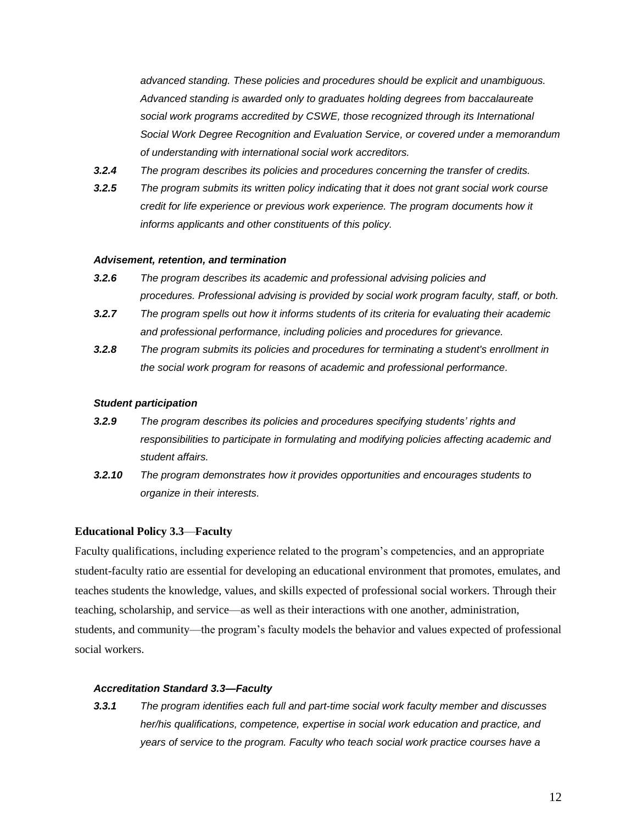*advanced standing. These policies and procedures should be explicit and unambiguous. Advanced standing is awarded only to graduates holding degrees from baccalaureate social work programs accredited by CSWE, those recognized through its International Social Work Degree Recognition and Evaluation Service, or covered under a memorandum of understanding with international social work accreditors.*

- *3.2.4 The program describes its policies and procedures concerning the transfer of credits.*
- *3.2.5 The program submits its written policy indicating that it does not grant social work course credit for life experience or previous work experience. The program documents how it informs applicants and other constituents of this policy.*

#### *Advisement, retention, and termination*

- *3.2.6 The program describes its academic and professional advising policies and procedures. Professional advising is provided by social work program faculty, staff, or both.*
- *3.2.7 The program spells out how it informs students of its criteria for evaluating their academic and professional performance, including policies and procedures for grievance.*
- *3.2.8 The program submits its policies and procedures for terminating a student's enrollment in the social work program for reasons of academic and professional performance.*

#### *Student participation*

- *3.2.9 The program describes its policies and procedures specifying students' rights and responsibilities to participate in formulating and modifying policies affecting academic and student affairs.*
- *3.2.10 The program demonstrates how it provides opportunities and encourages students to organize in their interests.*

### **Educational Policy 3.3**—**Faculty**

Faculty qualifications, including experience related to the program's competencies, and an appropriate student-faculty ratio are essential for developing an educational environment that promotes, emulates, and teaches students the knowledge, values, and skills expected of professional social workers. Through their teaching, scholarship, and service—as well as their interactions with one another, administration, students, and community—the program's faculty models the behavior and values expected of professional social workers.

#### *Accreditation Standard 3.3—Faculty*

*3.3.1 The program identifies each full and part-time social work faculty member and discusses her/his qualifications, competence, expertise in social work education and practice, and years of service to the program. Faculty who teach social work practice courses have a*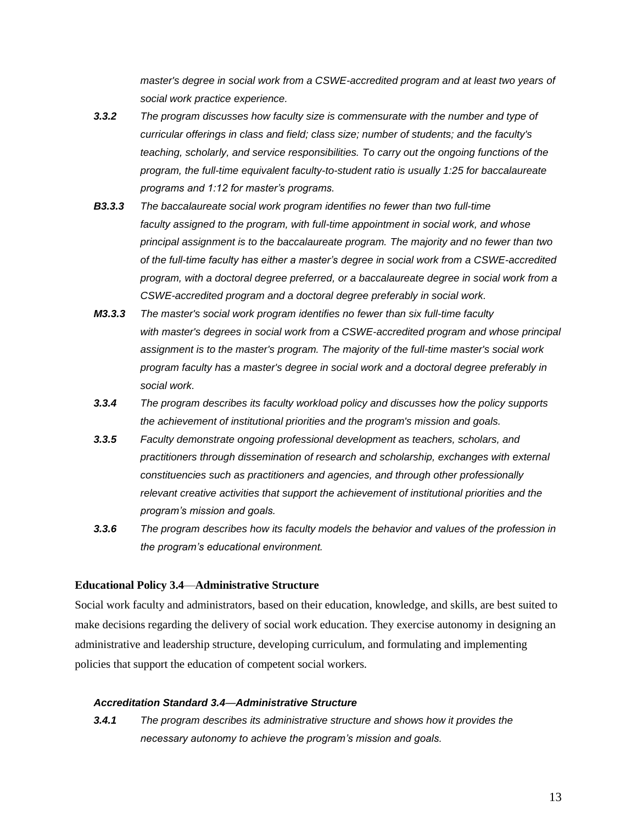*master's degree in social work from a CSWE-accredited program and at least two years of social work practice experience.*

- *3.3.2 The program discusses how faculty size is commensurate with the number and type of curricular offerings in class and field; class size; number of students; and the faculty's teaching, scholarly, and service responsibilities. To carry out the ongoing functions of the program, the full-time equivalent faculty-to-student ratio is usually 1:25 for baccalaureate programs and 1:12 for master's programs.*
- *B3.3.3 The baccalaureate social work program identifies no fewer than two full-time faculty assigned to the program, with full-time appointment in social work, and whose principal assignment is to the baccalaureate program. The majority and no fewer than two of the full-time faculty has either a master's degree in social work from a CSWE-accredited program, with a doctoral degree preferred, or a baccalaureate degree in social work from a CSWE-accredited program and a doctoral degree preferably in social work.*
- *M3.3.3 The master's social work program identifies no fewer than six full-time faculty with master's degrees in social work from a CSWE-accredited program and whose principal assignment is to the master's program. The majority of the full-time master's social work program faculty has a master's degree in social work and a doctoral degree preferably in social work.*
- *3.3.4 The program describes its faculty workload policy and discusses how the policy supports the achievement of institutional priorities and the program's mission and goals.*
- *3.3.5 Faculty demonstrate ongoing professional development as teachers, scholars, and practitioners through dissemination of research and scholarship, exchanges with external constituencies such as practitioners and agencies, and through other professionally relevant creative activities that support the achievement of institutional priorities and the program's mission and goals.*
- *3.3.6 The program describes how its faculty models the behavior and values of the profession in the program's educational environment.*

### **Educational Policy 3.4**—**Administrative Structure**

Social work faculty and administrators, based on their education, knowledge, and skills, are best suited to make decisions regarding the delivery of social work education. They exercise autonomy in designing an administrative and leadership structure, developing curriculum, and formulating and implementing policies that support the education of competent social workers*.*

## *Accreditation Standard 3.4*—*Administrative Structure*

*3.4.1 The program describes its administrative structure and shows how it provides the necessary autonomy to achieve the program's mission and goals.*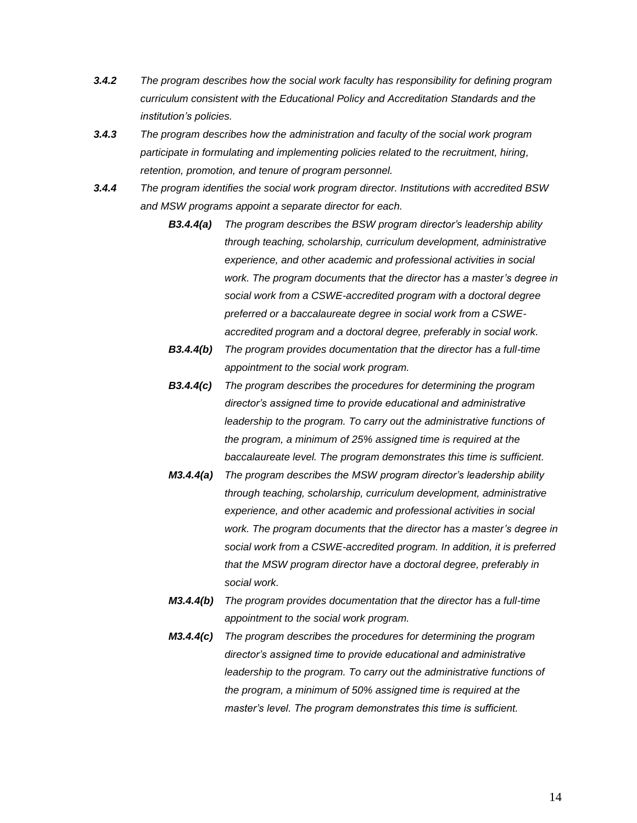- *3.4.2 The program describes how the social work faculty has responsibility for defining program curriculum consistent with the Educational Policy and Accreditation Standards and the institution's policies.*
- *3.4.3 The program describes how the administration and faculty of the social work program participate in formulating and implementing policies related to the recruitment, hiring, retention, promotion, and tenure of program personnel.*
- *3.4.4 The program identifies the social work program director. Institutions with accredited BSW and MSW programs appoint a separate director for each.*
	- *B3.4.4(a) The program describes the BSW program director's leadership ability through teaching, scholarship, curriculum development, administrative experience, and other academic and professional activities in social work. The program documents that the director has a master's degree in social work from a CSWE-accredited program with a doctoral degree preferred or a baccalaureate degree in social work from a CSWEaccredited program and a doctoral degree, preferably in social work.*
	- *B3.4.4(b) The program provides documentation that the director has a full-time appointment to the social work program.*
	- *B3.4.4(c) The program describes the procedures for determining the program director's assigned time to provide educational and administrative leadership to the program. To carry out the administrative functions of the program, a minimum of 25% assigned time is required at the baccalaureate level. The program demonstrates this time is sufficient.*
	- *M3.4.4(a) The program describes the MSW program director's leadership ability through teaching, scholarship, curriculum development, administrative experience, and other academic and professional activities in social work. The program documents that the director has a master's degree in social work from a CSWE-accredited program. In addition, it is preferred that the MSW program director have a doctoral degree, preferably in social work.*
	- *M3.4.4(b) The program provides documentation that the director has a full-time appointment to the social work program.*
	- *M3.4.4(c) The program describes the procedures for determining the program director's assigned time to provide educational and administrative leadership to the program. To carry out the administrative functions of the program, a minimum of 50% assigned time is required at the master's level. The program demonstrates this time is sufficient.*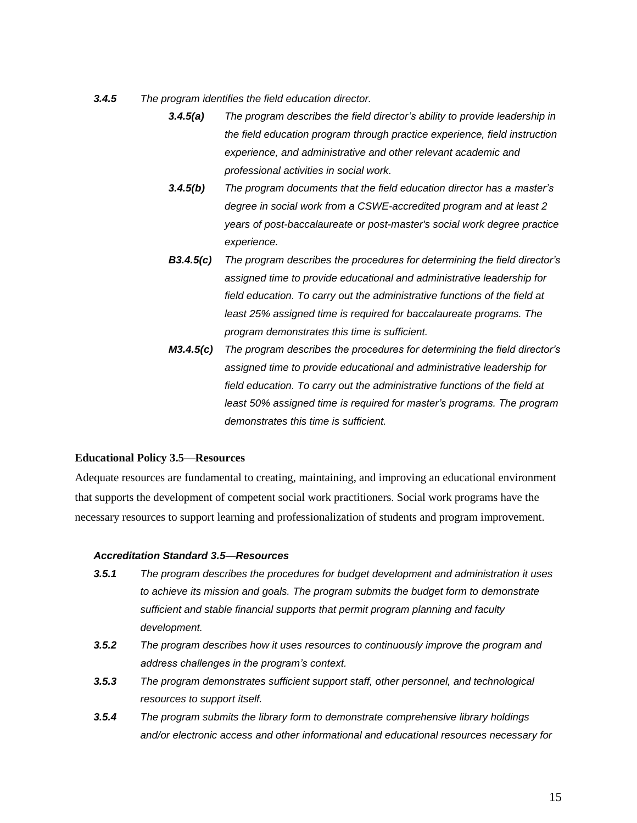- *3.4.5 The program identifies the field education director.*
	- *3.4.5(a) The program describes the field director's ability to provide leadership in the field education program through practice experience, field instruction experience, and administrative and other relevant academic and professional activities in social work.*
	- *3.4.5(b) The program documents that the field education director has a master's degree in social work from a CSWE-accredited program and at least 2 years of post-baccalaureate or post-master's social work degree practice experience.*
	- *B3.4.5(c) The program describes the procedures for determining the field director's assigned time to provide educational and administrative leadership for field education. To carry out the administrative functions of the field at least 25% assigned time is required for baccalaureate programs. The program demonstrates this time is sufficient.*
	- *M3.4.5(c) The program describes the procedures for determining the field director's assigned time to provide educational and administrative leadership for field education. To carry out the administrative functions of the field at least 50% assigned time is required for master's programs. The program demonstrates this time is sufficient.*

### **Educational Policy 3.5**—**Resources**

Adequate resources are fundamental to creating, maintaining, and improving an educational environment that supports the development of competent social work practitioners. Social work programs have the necessary resources to support learning and professionalization of students and program improvement.

#### *Accreditation Standard 3.5*—*Resources*

- *3.5.1 The program describes the procedures for budget development and administration it uses to achieve its mission and goals. The program submits the budget form to demonstrate sufficient and stable financial supports that permit program planning and faculty development.*
- *3.5.2 The program describes how it uses resources to continuously improve the program and address challenges in the program's context.*
- *3.5.3 The program demonstrates sufficient support staff, other personnel, and technological resources to support itself.*
- *3.5.4 The program submits the library form to demonstrate comprehensive library holdings and/or electronic access and other informational and educational resources necessary for*